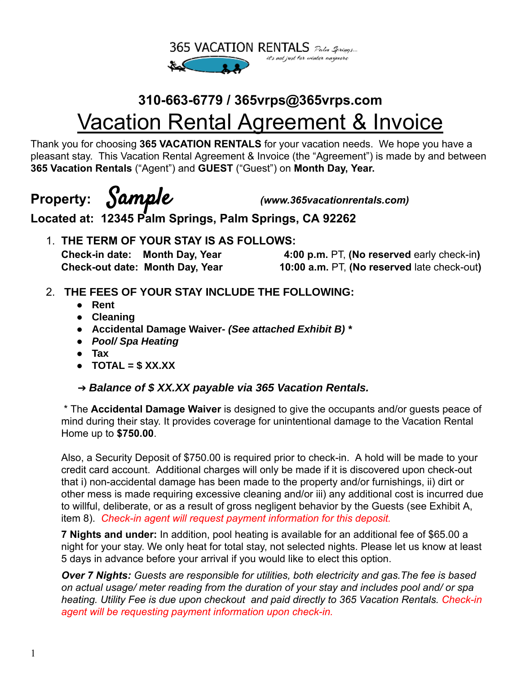

# **310-663-6779 / 365vrps@365vrps.com** Vacation Rental Agreement & Invoice

Thank you for choosing **365 VACATION RENTALS** for your vacation needs. We hope you have a pleasant stay. This Vacation Rental Agreement & Invoice (the "Agreement") is made by and between **365 Vacation Rentals** ("Agent") and **GUEST** ("Guest") on **Month Day, Year.**

**Property:** Sample *(www.365vacationrentals.com)*

**Located at: 12345 Palm Springs, Palm Springs, CA 92262**

1. **THE TERM OF YOUR STAY IS AS FOLLOWS:**

**Check-in date: Month Day, Year 4:00 p.m.** PT, **(No reserved** early check-in**) Check-out date: Month Day, Year 10:00 a.m.** PT, **(No reserved** late check-out**)**

- 2. **THE FEES OF YOUR STAY INCLUDE THE FOLLOWING:**
	- **Rent**
	- **Cleaning**
	- **Accidental Damage Waiver-** *(See attached Exhibit B) \**
	- *● Pool/ Spa Heating*
	- **● Tax**
	- **TOTAL = \$ XX.XX**
	- ➔ *Balance of \$ XX.XX payable via 365 Vacation Rentals.*

\* The **Accidental Damage Waiver** is designed to give the occupants and/or guests peace of mind during their stay. It provides coverage for unintentional damage to the Vacation Rental Home up to **\$750.00**.

Also, a Security Deposit of \$750.00 is required prior to check-in. A hold will be made to your credit card account. Additional charges will only be made if it is discovered upon check-out that i) non-accidental damage has been made to the property and/or furnishings, ii) dirt or other mess is made requiring excessive cleaning and/or iii) any additional cost is incurred due to willful, deliberate, or as a result of gross negligent behavior by the Guests (see Exhibit A, item 8). *Check-in agent will request payment information for this deposit.*

**7 Nights and under:** In addition, pool heating is available for an additional fee of \$65.00 a night for your stay. We only heat for total stay, not selected nights. Please let us know at least 5 days in advance before your arrival if you would like to elect this option.

*Over 7 Nights: Guests are responsible for utilities, both electricity and gas.The fee is based on actual usage/ meter reading from the duration of your stay and includes pool and/ or spa heating. Utility Fee is due upon checkout and paid directly to 365 Vacation Rentals. Check -in agent will be requesting payment information upon check-in.*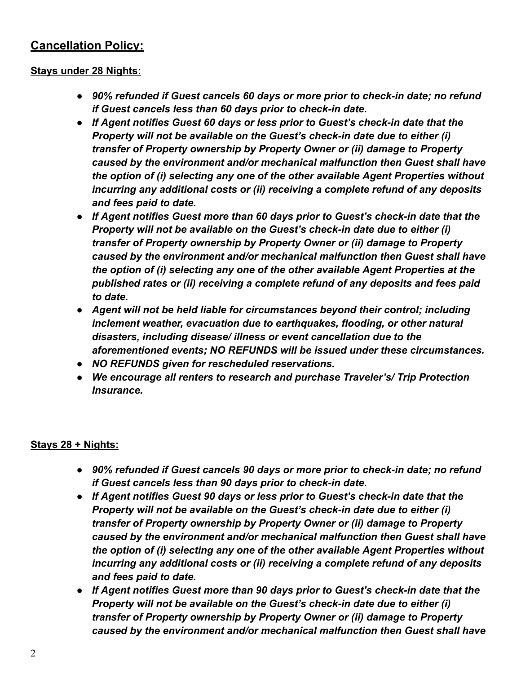### **Cancellation Policy:**

#### **Stays under 28 Nights:**

- **●** *90% refunded if Guest cancels 60 days or more prior to check-in date; no refund if Guest cancels less than 60 days prior to check-in date.*
- **●** *If Agent notifies Guest 60 days or less prior to Guest's check-in date that the Property will not be available on the Guest's check-in date due to either (i) transfer of Property ownership by Property Owner or (ii) damage to Property caused by the environment and/or mechanical malfunction then Guest shall have the option of (i) selecting any one of the other available Agent Properties without incurring any additional costs or (ii) receiving a complete refund of any deposits and fees paid to date.*
- **●** *If Agent notifies Guest more than 60 days prior to Guest's check-in date that the Property will not be available on the Guest's check-in date due to either (i) transfer of Property ownership by Property Owner or (ii) damage to Property caused by the environment and/or mechanical malfunction then Guest shall have the option of (i) selecting any one of the other available Agent Properties at the published rates or (ii) receiving a complete refund of any deposits and fees paid to date.*
- **●** *Agent will not be held liable for circumstances beyond their control; including inclement weather, evacuation due to earthquakes, flooding, or other natural disasters, including disease/ illness or event cancellation due to the aforementioned events; NO REFUNDS will be issued under these circumstances.*
- **●** *NO REFUNDS given for rescheduled reservations.*
- **●** *We encourage all renters to research and purchase Traveler's/ Trip Protection Insurance.*

#### **Stays 28 + Nights:**

- **●** *90% refunded if Guest cancels 90 days or more prior to check-in date; no refund if Guest cancels less than 90 days prior to check-in date.*
- **●** *If Agent notifies Guest 90 days or less prior to Guest's check-in date that the Property will not be available on the Guest's check-in date due to either (i) transfer of Property ownership by Property Owner or (ii) damage to Property caused by the environment and/or mechanical malfunction then Guest shall have the option of (i) selecting any one of the other available Agent Properties without incurring any additional costs or (ii) receiving a complete refund of any deposits and fees paid to date.*
- **●** *If Agent notifies Guest more than 90 days prior to Guest's check-in date that the Property will not be available on the Guest's check-in date due to either (i) transfer of Property ownership by Property Owner or (ii) damage to Property caused by the environment and/or mechanical malfunction then Guest shall have*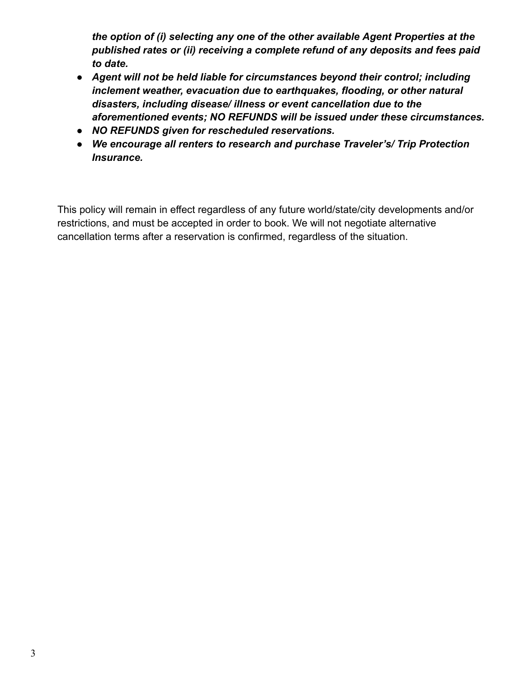*the option of (i) selecting any one of the other available Agent Properties at the published rates or (ii) receiving a complete refund of any deposits and fees paid to date.*

- **●** *Agent will not be held liable for circumstances beyond their control; including inclement weather, evacuation due to earthquakes, flooding, or other natural disasters, including disease/ illness or event cancellation due to the aforementioned events; NO REFUNDS will be issued under these circumstances.*
- **●** *NO REFUNDS given for rescheduled reservations.*
- **●** *We encourage all renters to research and purchase Traveler's/ Trip Protection Insurance.*

This policy will remain in effect regardless of any future world/state/city developments and/or restrictions, and must be accepted in order to book. We will not negotiate alternative cancellation terms after a reservation is confirmed, regardless of the situation.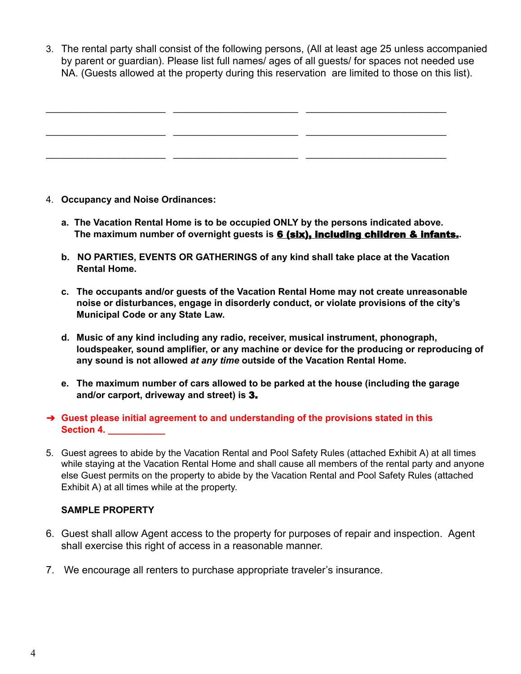3. The rental party shall consist of the following persons, (All at least age 25 unless accompanied by parent or guardian). Please list full names/ ages of all guests/ for spaces not needed use NA. (Guests allowed at the property during this reservation are limited to those on this list).

 $\_$  , and the state of the state of the state of the state of the state of the state of the state of the state of the state of the state of the state of the state of the state of the state of the state of the state of the  $\_$  , and the state of the state of the state of the state of the state of the state of the state of the state of the state of the state of the state of the state of the state of the state of the state of the state of the

 $\_$  , and the state of the state of the state of the state of the state of the state of the state of the state of the state of the state of the state of the state of the state of the state of the state of the state of the

- 4. **Occupancy and Noise Ordinances:**
	- **a. The Vacation Rental Home is to be occupied ONLY by the persons indicated above. The maximum number of overnight guests is** 6 (six), including children & infants.**.**
	- **b. NO PARTIES, EVENTS OR GATHERINGS of any kind shall take place at the Vacation Rental Home.**
	- **c. The occupants and/or guests of the Vacation Rental Home may not create unreasonable noise or disturbances, engage in disorderly conduct, or violate provisions of the city's Municipal Code or any State Law.**
	- **d. Music of any kind including any radio, receiver, musical instrument, phonograph, loudspeaker, sound amplifier, or any machine or device for the producing or reproducing of any sound is not allowed** *at any time* **outside of the Vacation Rental Home.**
	- **e. The maximum number of cars allowed to be parked at the house (including the garage and/or carport, driveway and street) is** 3.

#### ➔ **Guest please initial agreement to and understanding of the provisions stated in this Section 4. \_\_\_\_\_\_\_\_\_\_\_**

5. Guest agrees to abide by the Vacation Rental and Pool Safety Rules (attached Exhibit A) at all times while staying at the Vacation Rental Home and shall cause all members of the rental party and anyone else Guest permits on the property to abide by the Vacation Rental and Pool Safety Rules (attached Exhibit A) at all times while at the property.

#### **SAMPLE PROPERTY**

- 6. Guest shall allow Agent access to the property for purposes of repair and inspection. Agent shall exercise this right of access in a reasonable manner.
- 7. We encourage all renters to purchase appropriate traveler's insurance.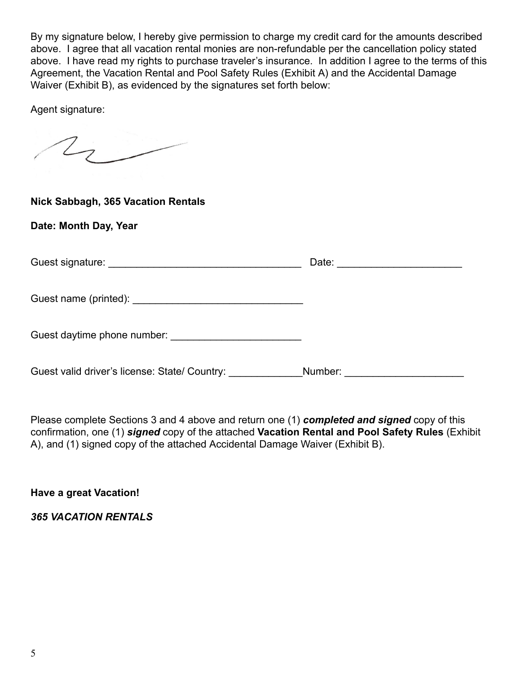By my signature below, I hereby give permission to charge my credit card for the amounts described above. I agree that all vacation rental monies are non-refundable per the cancellation policy stated above. I have read my rights to purchase traveler's insurance. In addition I agree to the terms of this Agreement, the Vacation Rental and Pool Safety Rules (Exhibit A) and the Accidental Damage Waiver (Exhibit B), as evidenced by the signatures set forth below:

Agent signature:

 $\sqrt{2}$ 

### **Nick Sabbagh, 365 Vacation Rentals**

**Date: Month Day, Year**

|                                                            | Date: <u>____________________</u> |
|------------------------------------------------------------|-----------------------------------|
|                                                            |                                   |
| Guest daytime phone number:<br>Suest daytime phone number: |                                   |
| Guest valid driver's license: State/ Country:              | Number:                           |

Please complete Sections 3 and 4 above and return one (1) *completed and signed* copy of this confirmation, one (1) *signed* copy of the attached **Vacation Rental and Pool Safety Rules** (Exhibit A), and (1) signed copy of the attached Accidental Damage Waiver (Exhibit B).

**Have a great Vacation!**

*365 VACATION RENTALS*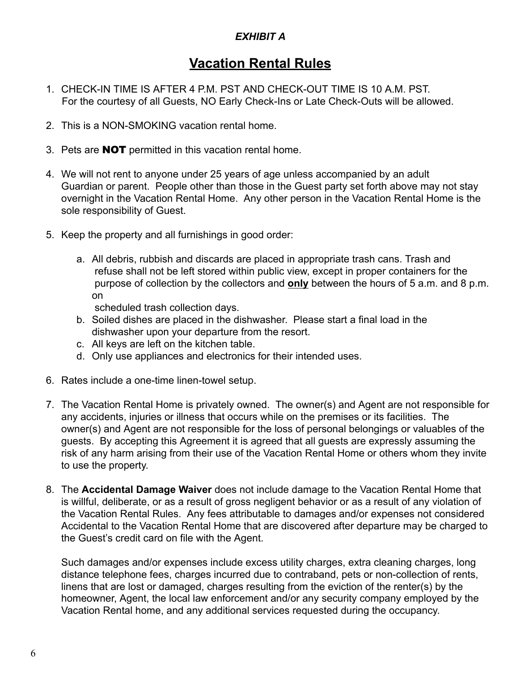### *EXHIBIT A*

# **Vacation Rental Rules**

- 1. CHECK-IN TIME IS AFTER 4 P.M. PST AND CHECK-OUT TIME IS 10 A.M. PST. For the courtesy of all Guests, NO Early Check-Ins or Late Check-Outs will be allowed.
- 2. This is a NON-SMOKING vacation rental home.
- 3. Pets are NOT permitted in this vacation rental home.
- 4. We will not rent to anyone under 25 years of age unless accompanied by an adult Guardian or parent. People other than those in the Guest party set forth above may not stay overnight in the Vacation Rental Home. Any other person in the Vacation Rental Home is the sole responsibility of Guest.
- 5. Keep the property and all furnishings in good order:
	- a. All debris, rubbish and discards are placed in appropriate trash cans. Trash and refuse shall not be left stored within public view, except in proper containers for the purpose of collection by the collectors and **only** between the hours of 5 a.m. and 8 p.m. on

scheduled trash collection days.

- b. Soiled dishes are placed in the dishwasher. Please start a final load in the dishwasher upon your departure from the resort.
- c. All keys are left on the kitchen table.
- d. Only use appliances and electronics for their intended uses.
- 6. Rates include a one-time linen-towel setup.
- 7. The Vacation Rental Home is privately owned. The owner(s) and Agent are not responsible for any accidents, injuries or illness that occurs while on the premises or its facilities. The owner(s) and Agent are not responsible for the loss of personal belongings or valuables of the guests. By accepting this Agreement it is agreed that all guests are expressly assuming the risk of any harm arising from their use of the Vacation Rental Home or others whom they invite to use the property.
- 8. The **Accidental Damage Waiver** does not include damage to the Vacation Rental Home that is willful, deliberate, or as a result of gross negligent behavior or as a result of any violation of the Vacation Rental Rules. Any fees attributable to damages and/or expenses not considered Accidental to the Vacation Rental Home that are discovered after departure may be charged to the Guest's credit card on file with the Agent.

Such damages and/or expenses include excess utility charges, extra cleaning charges, long distance telephone fees, charges incurred due to contraband, pets or non-collection of rents, linens that are lost or damaged, charges resulting from the eviction of the renter(s) by the homeowner, Agent, the local law enforcement and/or any security company employed by the Vacation Rental home, and any additional services requested during the occupancy.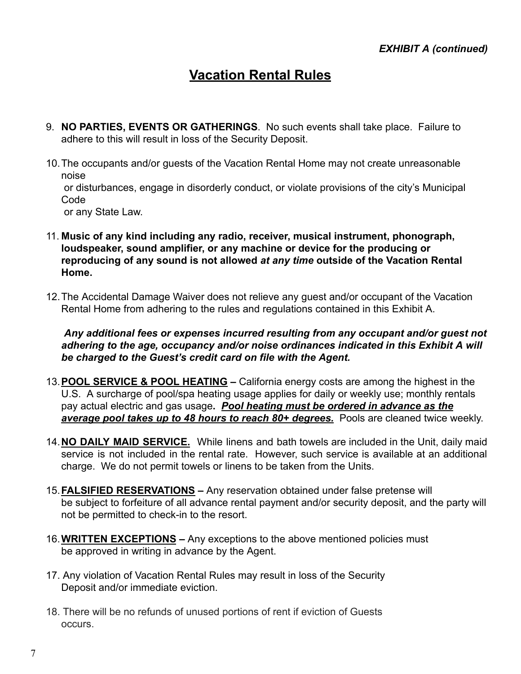# **Vacation Rental Rules**

- 9. **NO PARTIES, EVENTS OR GATHERINGS**. No such events shall take place. Failure to adhere to this will result in loss of the Security Deposit.
- 10.The occupants and/or guests of the Vacation Rental Home may not create unreasonable noise

or disturbances, engage in disorderly conduct, or violate provisions of the city's Municipal Code

or any State Law.

- 11. **Music of any kind including any radio, receiver, musical instrument, phonograph, loudspeaker, sound amplifier, or any machine or device for the producing or reproducing of any sound is not allowed** *at any time* **outside of the Vacation Rental Home.**
- 12.The Accidental Damage Waiver does not relieve any guest and/or occupant of the Vacation Rental Home from adhering to the rules and regulations contained in this Exhibit A.

*Any additional fees or expenses incurred resulting from any occupant and/or guest not adhering to the age, occupancy and/or noise ordinances indicated in this Exhibit A will be charged to the Guest's credit card on file with the Agent.*

- 13.**POOL SERVICE & POOL HEATING –** California energy costs are among the highest in the U.S. A surcharge of pool/spa heating usage applies for daily or weekly use; monthly rentals pay actual electric and gas usage**.** *Pool heating must be ordered in advance as the average pool takes up to 48 hours to reach 80+ degrees.* Pools are cleaned twice weekly.
- 14.**NO DAILY MAID SERVICE.** While linens and bath towels are included in the Unit, daily maid service is not included in the rental rate. However, such service is available at an additional charge. We do not permit towels or linens to be taken from the Units.
- 15.**FALSIFIED RESERVATIONS –** Any reservation obtained under false pretense will be subject to forfeiture of all advance rental payment and/or security deposit, and the party will not be permitted to check-in to the resort.
- 16.**WRITTEN EXCEPTIONS –** Any exceptions to the above mentioned policies must be approved in writing in advance by the Agent.
- 17. Any violation of Vacation Rental Rules may result in loss of the Security Deposit and/or immediate eviction.
- 18. There will be no refunds of unused portions of rent if eviction of Guests occurs.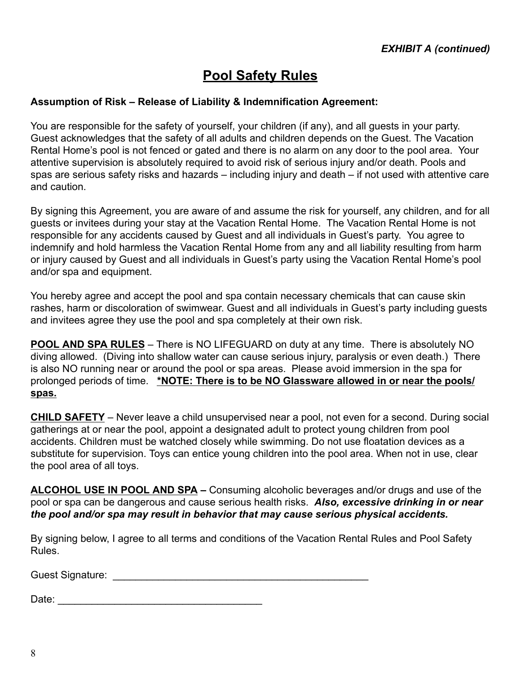# **Pool Safety Rules**

#### **Assumption of Risk – Release of Liability & Indemnification Agreement:**

You are responsible for the safety of yourself, your children (if any), and all guests in your party. Guest acknowledges that the safety of all adults and children depends on the Guest. The Vacation Rental Home's pool is not fenced or gated and there is no alarm on any door to the pool area. Your attentive supervision is absolutely required to avoid risk of serious injury and/or death. Pools and spas are serious safety risks and hazards – including injury and death – if not used with attentive care and caution.

By signing this Agreement, you are aware of and assume the risk for yourself, any children, and for all guests or invitees during your stay at the Vacation Rental Home. The Vacation Rental Home is not responsible for any accidents caused by Guest and all individuals in Guest's party. You agree to indemnify and hold harmless the Vacation Rental Home from any and all liability resulting from harm or injury caused by Guest and all individuals in Guest's party using the Vacation Rental Home's pool and/or spa and equipment.

You hereby agree and accept the pool and spa contain necessary chemicals that can cause skin rashes, harm or discoloration of swimwear. Guest and all individuals in Guest's party including guests and invitees agree they use the pool and spa completely at their own risk.

**POOL AND SPA RULES** – There is NO LIFEGUARD on duty at any time. There is absolutely NO diving allowed. (Diving into shallow water can cause serious injury, paralysis or even death.) There is also NO running near or around the pool or spa areas. Please avoid immersion in the spa for prolonged periods of time. **\*NOTE: There is to be NO Glassware allowed in or near the pools/ spas.**

**CHILD SAFETY** – Never leave a child unsupervised near a pool, not even for a second. During social gatherings at or near the pool, appoint a designated adult to protect young children from pool accidents. Children must be watched closely while swimming. Do not use floatation devices as a substitute for supervision. Toys can entice young children into the pool area. When not in use, clear the pool area of all toys.

**ALCOHOL USE IN POOL AND SPA –** Consuming alcoholic beverages and/or drugs and use of the pool or spa can be dangerous and cause serious health risks. *Also, excessive drinking in or near the pool and/or spa may result in behavior that may cause serious physical accidents.*

By signing below, I agree to all terms and conditions of the Vacation Rental Rules and Pool Safety Rules.

Guest Signature: \_\_\_\_\_\_\_\_\_\_\_\_\_\_\_\_\_\_\_\_\_\_\_\_\_\_\_\_\_\_\_\_\_\_\_\_\_\_\_\_\_\_\_\_\_

Date: \_\_\_\_\_\_\_\_\_\_\_\_\_\_\_\_\_\_\_\_\_\_\_\_\_\_\_\_\_\_\_\_\_\_\_\_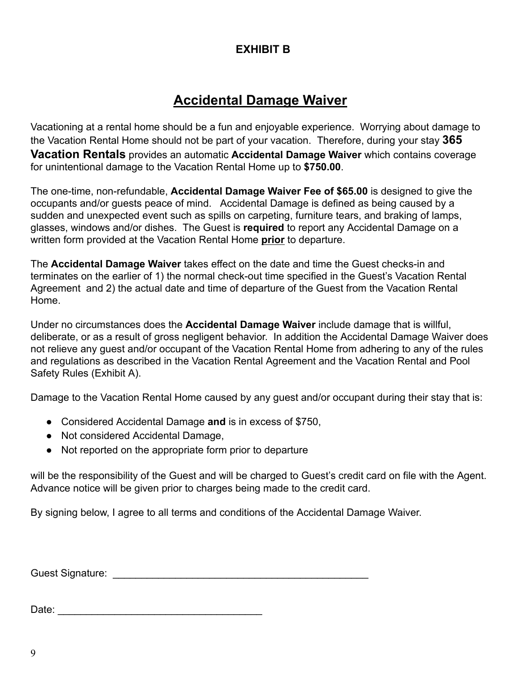### **EXHIBIT B**

# **Accidental Damage Waiver**

Vacationing at a rental home should be a fun and enjoyable experience. Worrying about damage to the Vacation Rental Home should not be part of your vacation. Therefore, during your stay **365 Vacation Rentals** provides an automatic **Accidental Damage Waiver** which contains coverage for unintentional damage to the Vacation Rental Home up to **\$750.00**.

The one-time, non-refundable, **Accidental Damage Waiver Fee of \$65.00** is designed to give the occupants and/or guests peace of mind. Accidental Damage is defined as being caused by a sudden and unexpected event such as spills on carpeting, furniture tears, and braking of lamps, glasses, windows and/or dishes. The Guest is **required** to report any Accidental Damage on a written form provided at the Vacation Rental Home **prior** to departure.

The **Accidental Damage Waiver** takes effect on the date and time the Guest checks-in and terminates on the earlier of 1) the normal check-out time specified in the Guest's Vacation Rental Agreement and 2) the actual date and time of departure of the Guest from the Vacation Rental Home.

Under no circumstances does the **Accidental Damage Waiver** include damage that is willful, deliberate, or as a result of gross negligent behavior. In addition the Accidental Damage Waiver does not relieve any guest and/or occupant of the Vacation Rental Home from adhering to any of the rules and regulations as described in the Vacation Rental Agreement and the Vacation Rental and Pool Safety Rules (Exhibit A).

Damage to the Vacation Rental Home caused by any guest and/or occupant during their stay that is:

- Considered Accidental Damage **and** is in excess of \$750,
- Not considered Accidental Damage,
- Not reported on the appropriate form prior to departure

will be the responsibility of the Guest and will be charged to Guest's credit card on file with the Agent. Advance notice will be given prior to charges being made to the credit card.

By signing below, I agree to all terms and conditions of the Accidental Damage Waiver.

Guest Signature: **Example 3** and the set of the set of the set of the set of the set of the set of the set of the set of the set of the set of the set of the set of the set of the set of the set of the set of the set of th

Date: \_\_\_\_\_\_\_\_\_\_\_\_\_\_\_\_\_\_\_\_\_\_\_\_\_\_\_\_\_\_\_\_\_\_\_\_